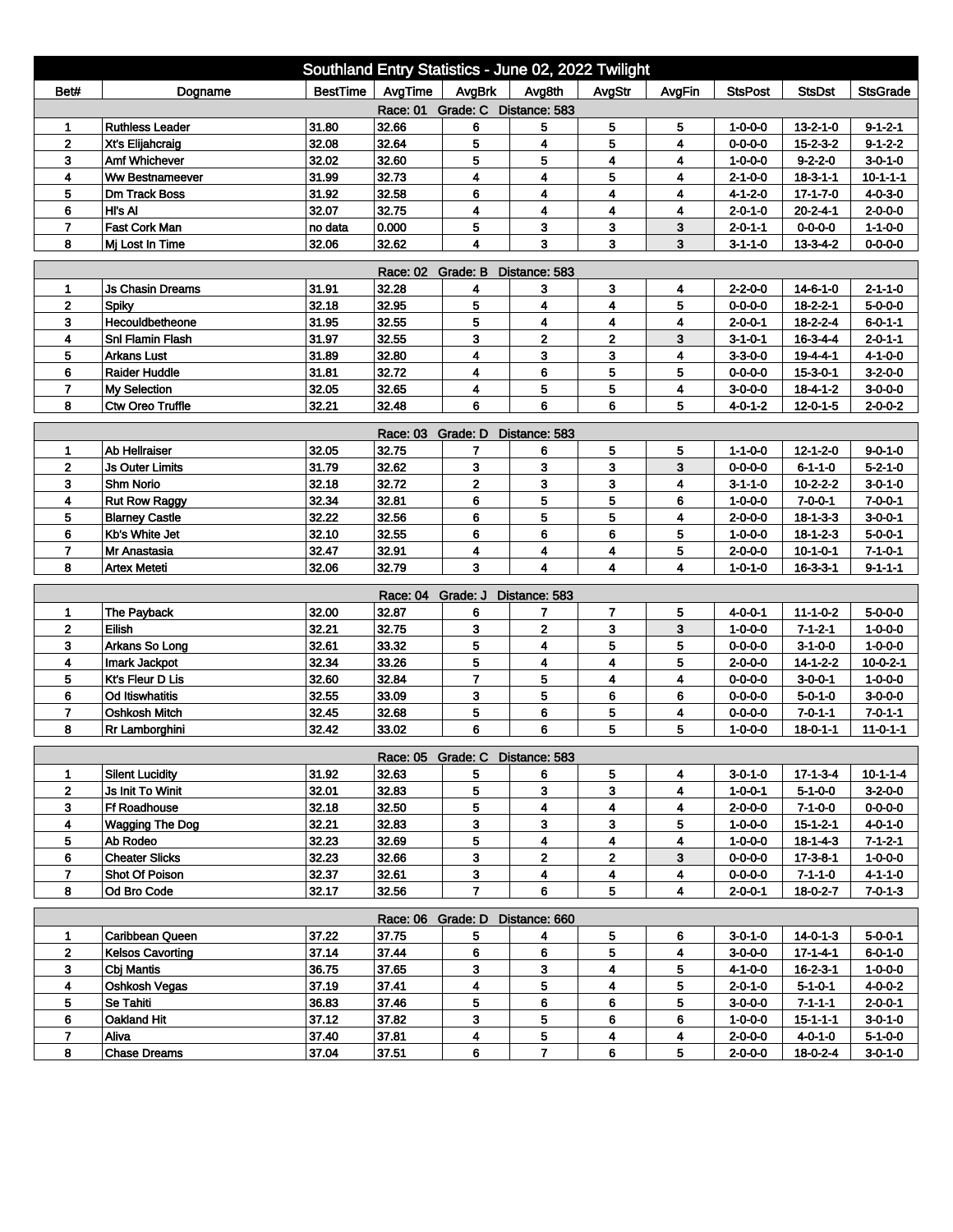| Southland Entry Statistics - June 02, 2022 Twilight |                                                |                  |                   |                                 |                         |                              |        |                                    |                                     |                                    |  |
|-----------------------------------------------------|------------------------------------------------|------------------|-------------------|---------------------------------|-------------------------|------------------------------|--------|------------------------------------|-------------------------------------|------------------------------------|--|
| Bet#                                                | Dogname                                        | <b>BestTime</b>  | AvgTime           | AvgBrk                          | Avg8th                  | AvgStr                       | AvgFin | <b>StsPost</b>                     | <b>StsDst</b>                       | <b>StsGrade</b>                    |  |
| Race: 01 Grade: C Distance: 583                     |                                                |                  |                   |                                 |                         |                              |        |                                    |                                     |                                    |  |
| 1                                                   | <b>Ruthless Leader</b>                         | 31.80            | 32.66             | 6                               | 5                       | 5                            | 5      | 1-0-0-0                            | $13 - 2 - 1 - 0$                    | $9 - 1 - 2 - 1$                    |  |
| $\overline{2}$                                      | Xt's Elijahcraig                               | 32.08            | 32.64             | 5                               | 4                       | 5                            | 4      | $0 - 0 - 0 - 0$                    | $15 - 2 - 3 - 2$                    | $9 - 1 - 2 - 2$                    |  |
| 3                                                   | Amf Whichever                                  | 32.02            | 32.60             | 5                               | 5                       | 4                            | 4      | $1 - 0 - 0 - 0$                    | $9 - 2 - 2 - 0$                     | $3 - 0 - 1 - 0$                    |  |
| 4                                                   | <b>Ww Bestnameever</b>                         | 31.99            | 32.73             | 4                               | 4                       | 5                            | 4      | $2 - 1 - 0 - 0$                    | $18 - 3 - 1 - 1$                    | $10 - 1 - 1 - 1$                   |  |
| 5                                                   | <b>Dm Track Boss</b>                           | 31.92            | 32.58             | 6                               | 4                       | $\overline{\mathbf{4}}$      | 4      | $4 - 1 - 2 - 0$                    | $17 - 1 - 7 - 0$                    | $4 - 0 - 3 - 0$                    |  |
| 6<br>$\overline{7}$                                 | HI's AI<br>Fast Cork Man                       | 32.07            | 32.75             | 4<br>5                          | 4<br>3                  | 4<br>3                       | 4<br>3 | $2 - 0 - 1 - 0$                    | $20 - 2 - 4 - 1$                    | $2 - 0 - 0 - 0$<br>$1 - 1 - 0 - 0$ |  |
| 8                                                   | Mi Lost In Time                                | no data<br>32.06 | 0.000<br>32.62    | 4                               | 3                       | 3                            | 3      | $2 - 0 - 1 - 1$<br>3-1-1-0         | $0 - 0 - 0 - 0$<br>$13 - 3 - 4 - 2$ | $0 - 0 - 0 - 0$                    |  |
|                                                     |                                                |                  |                   |                                 |                         |                              |        |                                    |                                     |                                    |  |
| Race: 02 Grade: B<br>Distance: 583                  |                                                |                  |                   |                                 |                         |                              |        |                                    |                                     |                                    |  |
| 1                                                   | <b>Js Chasin Dreams</b>                        | 31.91            | 32.28             | 4                               | 3                       | 3                            | 4      | $2 - 2 - 0 - 0$                    | $14 - 6 - 1 - 0$                    | $2 - 1 - 1 - 0$                    |  |
| $\mathbf{2}$                                        | Spiky                                          | 32.18            | 32.95             | 5                               | 4                       | 4                            | 5      | $0 - 0 - 0 - 0$                    | $18 - 2 - 2 - 1$                    | 5-0-0-0                            |  |
| 3                                                   | Hecouldbetheone                                | 31.95            | 32.55             | 5                               | 4                       | 4                            | 4      | $2 - 0 - 0 - 1$                    | $18 - 2 - 2 - 4$                    | $6 - 0 - 1 - 1$                    |  |
| 4                                                   | <b>Snl Flamin Flash</b>                        | 31.97            | 32.55             | 3                               | $\mathbf 2$             | $\overline{2}$               | 3      | $3 - 1 - 0 - 1$                    | $16 - 3 - 4 - 4$                    | $2 - 0 - 1 - 1$                    |  |
| 5                                                   | <b>Arkans Lust</b>                             | 31.89            | 32.80             | 4                               | 3                       | 3                            | 4      | 3-3-0-0                            | 19-4-4-1                            | $4 - 1 - 0 - 0$                    |  |
| 6                                                   | <b>Raider Huddle</b>                           | 31.81            | 32.72             | 4                               | 6                       | 5                            | 5      | 0-0-0-0                            | 15-3-0-1                            | $3-2-0-0$                          |  |
| $\overline{ }$<br>8                                 | <b>My Selection</b><br><b>Ctw Oreo Truffle</b> | 32.05<br>32.21   | 32.65<br>32.48    | 4<br>6                          | 5<br>6                  | 5<br>6                       | 4<br>5 | 3-0-0-0                            | $18 - 4 - 1 - 2$                    | $3 - 0 - 0 - 0$<br>$2 - 0 - 0 - 2$ |  |
|                                                     |                                                |                  |                   |                                 |                         |                              |        | $4 - 0 - 1 - 2$                    | $12 - 0 - 1 - 5$                    |                                    |  |
| Race: 03 Grade: D<br>Distance: 583                  |                                                |                  |                   |                                 |                         |                              |        |                                    |                                     |                                    |  |
| 1                                                   | Ab Hellraiser                                  | 32.05            | 32.75             | 7                               | 6                       | 5                            | 5      | $1 - 1 - 0 - 0$                    | 12-1-2-0                            | $9 - 0 - 1 - 0$                    |  |
| 2                                                   | <b>Js Outer Limits</b>                         | 31.79            | 32.62             | 3                               | 3                       | 3                            | 3      | $0 - 0 - 0 - 0$                    | $6 - 1 - 1 - 0$                     | $5 - 2 - 1 - 0$                    |  |
| 3                                                   | <b>Shm Norio</b>                               | 32.18            | 32.72             | $\mathbf{2}$                    | 3                       | 3                            | 4      | 3-1-1-0                            | $10 - 2 - 2 - 2$                    | $3 - 0 - 1 - 0$                    |  |
| 4                                                   | <b>Rut Row Raggy</b>                           | 32.34            | 32.81             | 6                               | 5                       | 5                            | 6      | $1 - 0 - 0 - 0$                    | $7 - 0 - 0 - 1$                     | $7 - 0 - 0 - 1$                    |  |
| 5                                                   | <b>Blarney Castle</b>                          | 32.22            | 32.56             | 6                               | 5                       | 5                            | 4      | $2 - 0 - 0 - 0$                    | $18 - 1 - 3 - 3$                    | $3 - 0 - 0 - 1$                    |  |
| 6                                                   | Kb's White Jet                                 | 32.10            | 32.55             | 6                               | 6                       | 6                            | 5      | $1 - 0 - 0 - 0$                    | $18 - 1 - 2 - 3$                    | $5 - 0 - 0 - 1$                    |  |
| $\overline{ }$                                      | Mr Anastasia                                   | 32.47            | 32.91             | 4                               | 4                       | 4                            | 5      | $2 - 0 - 0 - 0$                    | $10 - 1 - 0 - 1$                    | $7 - 1 - 0 - 1$                    |  |
| 8                                                   | <b>Artex Meteti</b>                            | 32.06            | 32.79             | 3                               | 4                       | 4                            | 4      | $1 - 0 - 1 - 0$                    | $16 - 3 - 3 - 1$                    | $9 - 1 - 1 - 1$                    |  |
|                                                     |                                                |                  | Race: 04 Grade: J |                                 | Distance: 583           |                              |        |                                    |                                     |                                    |  |
| 1                                                   | The Payback                                    | 32.00            | 32.87             | 6                               | 7                       | $\overline{7}$               | 5      | $4 - 0 - 0 - 1$                    | $11 - 1 - 0 - 2$                    | $5 - 0 - 0 - 0$                    |  |
| $\overline{2}$                                      | Eilish                                         | 32.21            | 32.75             | 3                               | $\overline{\mathbf{2}}$ | 3                            | 3      | $1 - 0 - 0 - 0$                    | $7 - 1 - 2 - 1$                     | $1 - 0 - 0 - 0$                    |  |
| 3                                                   | Arkans So Long                                 | 32.61            | 33.32             | 5                               | 4                       | 5                            | 5      | $0 - 0 - 0 - 0$                    | $3 - 1 - 0 - 0$                     | $1 - 0 - 0 - 0$                    |  |
| 4                                                   | Imark Jackpot                                  | 32.34            | 33.26             | 5                               | 4                       | 4                            | 5      | $2 - 0 - 0 - 0$                    | $14 - 1 - 2 - 2$                    | $10 - 0 - 2 - 1$                   |  |
| 5                                                   | Kt's Fleur D Lis                               | 32.60            | 32.84             | $\overline{7}$                  | 5                       | 4                            | 4      | $0 - 0 - 0 - 0$                    | $3 - 0 - 0 - 1$                     | $1 - 0 - 0 - 0$                    |  |
| 6                                                   | <b>Od Itiswhatitis</b>                         | 32.55            | 33.09             | 3                               | 5                       | 6                            | 6      | $0 - 0 - 0 - 0$                    | $5 - 0 - 1 - 0$                     | $3 - 0 - 0 - 0$                    |  |
| $\overline{7}$                                      | <b>Oshkosh Mitch</b>                           | 32.45            | 32.68             | 5                               | 6                       | 5                            | 4      | $0 - 0 - 0 - 0$                    | $7 - 0 - 1 - 1$                     | $7 - 0 - 1 - 1$                    |  |
| 8                                                   | Rr Lamborghini                                 | 32.42            | 33.02             | 6                               | 6                       | 5                            | 5      | $1 - 0 - 0 - 0$                    | $18 - 0 - 1 - 1$                    | $11 - 0 - 1 - 1$                   |  |
|                                                     |                                                |                  |                   | Race: 05 Grade: C Distance: 583 |                         |                              |        |                                    |                                     |                                    |  |
| 1                                                   | <b>Silent Lucidity</b>                         | 31.92            | 32.63             | 5                               | 6                       | 5                            | 4      | $3 - 0 - 1 - 0$                    | $17 - 1 - 3 - 4$                    | $10 - 1 - 1 - 4$                   |  |
| $\mathbf{2}$                                        | Js Init To Winit                               | 32.01            | 32.83             | 5                               | 3                       | 3                            | 4      | 1-0-0-1                            | $5 - 1 - 0 - 0$                     | $3-2-0-0$                          |  |
| 3                                                   | <b>Ff Roadhouse</b>                            | 32.18            | 32.50             | 5                               | 4                       | $\overline{\mathbf{4}}$      | 4      | $2 - 0 - 0 - 0$                    | $7 - 1 - 0 - 0$                     | $0 - 0 - 0 - 0$                    |  |
| 4                                                   | <b>Wagging The Dog</b>                         | 32.21            | 32.83             | 3                               | 3                       | 3                            | 5      | $1 - 0 - 0 - 0$                    | $15 - 1 - 2 - 1$                    | $4 - 0 - 1 - 0$                    |  |
| 5                                                   | Ab Rodeo                                       | 32.23            | 32.69             | 5                               | 4                       | 4                            | 4      | $1 - 0 - 0 - 0$                    | 18-1-4-3                            | $7 - 1 - 2 - 1$                    |  |
| 6                                                   | <b>Cheater Slicks</b>                          | 32.23            | 32.66             | 3                               | $\overline{\mathbf{2}}$ | $\mathbf{2}$                 | 3      | $0 - 0 - 0 - 0$                    | 17-3-8-1                            | $1 - 0 - 0 - 0$                    |  |
| $\overline{7}$                                      | Shot Of Poison                                 | 32.37            | 32.61             | 3                               | 4                       | 4                            | 4      | $0 - 0 - 0 - 0$                    | $7 - 1 - 1 - 0$                     | $4 - 1 - 1 - 0$                    |  |
| 8                                                   | Od Bro Code                                    | 32.17            | 32.56             | $\overline{7}$                  | 6                       | 5                            | 4      | $2 - 0 - 0 - 1$                    | $18 - 0 - 2 - 7$                    | $7 - 0 - 1 - 3$                    |  |
|                                                     |                                                |                  |                   |                                 |                         |                              |        |                                    |                                     |                                    |  |
|                                                     |                                                |                  |                   | Race: 06 Grade: D Distance: 660 |                         |                              |        |                                    |                                     |                                    |  |
| 1                                                   | Caribbean Queen<br><b>Kelsos Cavorting</b>     | 37.22            | 37.75             | 5                               | 4                       | 5                            | 6      | $3 - 0 - 1 - 0$                    | $14 - 0 - 1 - 3$                    | $5 - 0 - 0 - 1$                    |  |
| $\mathbf{2}$                                        |                                                | 37.14            | 37.44             | 6                               | 6                       | 5                            | 4      | 3-0-0-0                            | 17-1-4-1                            | 6-0-1-0                            |  |
| 3<br>4                                              | Cbj Mantis<br>Oshkosh Vegas                    | 36.75            | 37.65             | 3<br>4                          | 3<br>5                  | 4<br>$\overline{\mathbf{4}}$ | 5<br>5 | 4-1-0-0                            | $16 - 2 - 3 - 1$                    | 1-0-0-0                            |  |
| 5                                                   | Se Tahiti                                      | 37.19            | 37.41<br>37.46    | 5                               |                         | 6                            | 5      | $2 - 0 - 1 - 0$                    | $5 - 1 - 0 - 1$                     | 4-0-0-2                            |  |
| 6                                                   | Oakland Hit                                    | 36.83<br>37.12   | 37.82             | 3                               | 6<br>5                  | 6                            | 6      | $3 - 0 - 0 - 0$<br>$1 - 0 - 0 - 0$ | $7 - 1 - 1 - 1$<br>$15 - 1 - 1 - 1$ | 2-0-0-1<br>$3 - 0 - 1 - 0$         |  |
| $\overline{7}$                                      | Aliva                                          | 37.40            | 37.81             | 4                               | 5                       | 4                            | 4      | $2 - 0 - 0 - 0$                    | 4-0-1-0                             | $5 - 1 - 0 - 0$                    |  |
| 8                                                   | <b>Chase Dreams</b>                            | 37.04            | 37.51             | 6                               | $\overline{7}$          | 6                            | 5      | $2 - 0 - 0 - 0$                    | 18-0-2-4                            | $3 - 0 - 1 - 0$                    |  |
|                                                     |                                                |                  |                   |                                 |                         |                              |        |                                    |                                     |                                    |  |